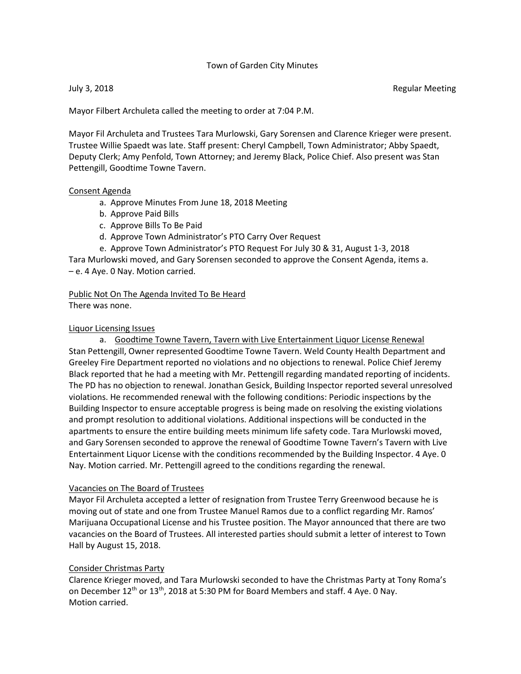#### Town of Garden City Minutes

July 3, 2018 **Regular Meeting** 

Mayor Filbert Archuleta called the meeting to order at 7:04 P.M.

Mayor Fil Archuleta and Trustees Tara Murlowski, Gary Sorensen and Clarence Krieger were present. Trustee Willie Spaedt was late. Staff present: Cheryl Campbell, Town Administrator; Abby Spaedt, Deputy Clerk; Amy Penfold, Town Attorney; and Jeremy Black, Police Chief. Also present was Stan Pettengill, Goodtime Towne Tavern.

#### Consent Agenda

- a. Approve Minutes From June 18, 2018 Meeting
- b. Approve Paid Bills
- c. Approve Bills To Be Paid
- d. Approve Town Administrator's PTO Carry Over Request
- e. Approve Town Administrator's PTO Request For July 30 & 31, August 1-3, 2018

Tara Murlowski moved, and Gary Sorensen seconded to approve the Consent Agenda, items a. – e. 4 Aye. 0 Nay. Motion carried.

#### Public Not On The Agenda Invited To Be Heard There was none.

#### Liquor Licensing Issues

a. Goodtime Towne Tavern, Tavern with Live Entertainment Liquor License Renewal Stan Pettengill, Owner represented Goodtime Towne Tavern. Weld County Health Department and Greeley Fire Department reported no violations and no objections to renewal. Police Chief Jeremy Black reported that he had a meeting with Mr. Pettengill regarding mandated reporting of incidents. The PD has no objection to renewal. Jonathan Gesick, Building Inspector reported several unresolved violations. He recommended renewal with the following conditions: Periodic inspections by the Building Inspector to ensure acceptable progress is being made on resolving the existing violations and prompt resolution to additional violations. Additional inspections will be conducted in the apartments to ensure the entire building meets minimum life safety code. Tara Murlowski moved, and Gary Sorensen seconded to approve the renewal of Goodtime Towne Tavern's Tavern with Live Entertainment Liquor License with the conditions recommended by the Building Inspector. 4 Aye. 0 Nay. Motion carried. Mr. Pettengill agreed to the conditions regarding the renewal.

#### Vacancies on The Board of Trustees

Mayor Fil Archuleta accepted a letter of resignation from Trustee Terry Greenwood because he is moving out of state and one from Trustee Manuel Ramos due to a conflict regarding Mr. Ramos' Marijuana Occupational License and his Trustee position. The Mayor announced that there are two vacancies on the Board of Trustees. All interested parties should submit a letter of interest to Town Hall by August 15, 2018.

#### Consider Christmas Party

Clarence Krieger moved, and Tara Murlowski seconded to have the Christmas Party at Tony Roma's on December  $12^{th}$  or  $13^{th}$ , 2018 at 5:30 PM for Board Members and staff. 4 Aye. 0 Nay. Motion carried.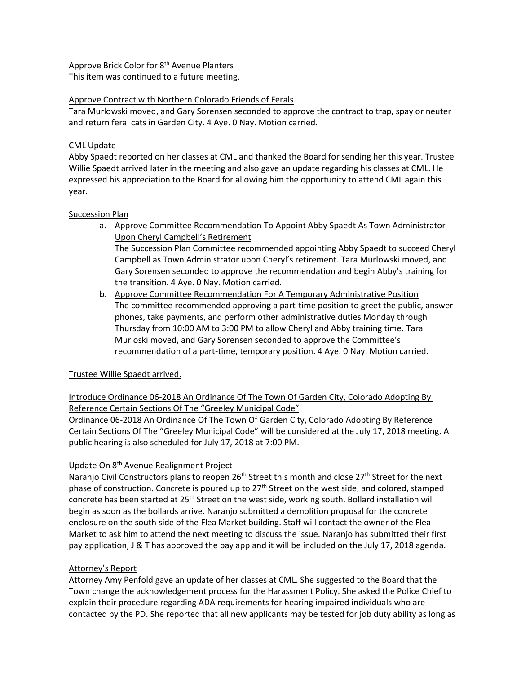#### Approve Brick Color for 8<sup>th</sup> Avenue Planters

This item was continued to a future meeting.

#### Approve Contract with Northern Colorado Friends of Ferals

Tara Murlowski moved, and Gary Sorensen seconded to approve the contract to trap, spay or neuter and return feral cats in Garden City. 4 Aye. 0 Nay. Motion carried.

#### CML Update

Abby Spaedt reported on her classes at CML and thanked the Board for sending her this year. Trustee Willie Spaedt arrived later in the meeting and also gave an update regarding his classes at CML. He expressed his appreciation to the Board for allowing him the opportunity to attend CML again this year.

#### Succession Plan

- a. Approve Committee Recommendation To Appoint Abby Spaedt As Town Administrator Upon Cheryl Campbell's Retirement The Succession Plan Committee recommended appointing Abby Spaedt to succeed Cheryl Campbell as Town Administrator upon Cheryl's retirement. Tara Murlowski moved, and Gary Sorensen seconded to approve the recommendation and begin Abby's training for the transition. 4 Aye. 0 Nay. Motion carried.
- b. Approve Committee Recommendation For A Temporary Administrative Position The committee recommended approving a part-time position to greet the public, answer phones, take payments, and perform other administrative duties Monday through Thursday from 10:00 AM to 3:00 PM to allow Cheryl and Abby training time. Tara Murloski moved, and Gary Sorensen seconded to approve the Committee's recommendation of a part-time, temporary position. 4 Aye. 0 Nay. Motion carried.

# Trustee Willie Spaedt arrived.

Introduce Ordinance 06-2018 An Ordinance Of The Town Of Garden City, Colorado Adopting By Reference Certain Sections Of The "Greeley Municipal Code"

Ordinance 06-2018 An Ordinance Of The Town Of Garden City, Colorado Adopting By Reference Certain Sections Of The "Greeley Municipal Code" will be considered at the July 17, 2018 meeting. A public hearing is also scheduled for July 17, 2018 at 7:00 PM.

# Update On 8th Avenue Realignment Project

Naranjo Civil Constructors plans to reopen 26<sup>th</sup> Street this month and close 27<sup>th</sup> Street for the next phase of construction. Concrete is poured up to 27<sup>th</sup> Street on the west side, and colored, stamped concrete has been started at 25<sup>th</sup> Street on the west side, working south. Bollard installation will begin as soon as the bollards arrive. Naranjo submitted a demolition proposal for the concrete enclosure on the south side of the Flea Market building. Staff will contact the owner of the Flea Market to ask him to attend the next meeting to discuss the issue. Naranjo has submitted their first pay application, J & T has approved the pay app and it will be included on the July 17, 2018 agenda.

# Attorney's Report

Attorney Amy Penfold gave an update of her classes at CML. She suggested to the Board that the Town change the acknowledgement process for the Harassment Policy. She asked the Police Chief to explain their procedure regarding ADA requirements for hearing impaired individuals who are contacted by the PD. She reported that all new applicants may be tested for job duty ability as long as